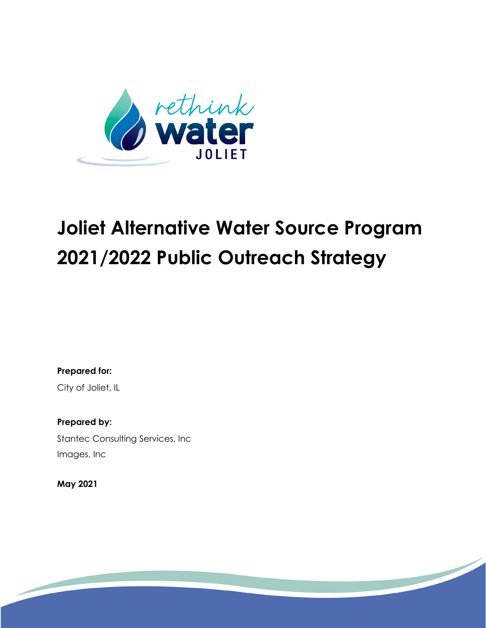

**Prepared for:** City of Joliet, IL

**Prepared by:** Stantec Consulting Services, Inc Images, Inc

**May 2021**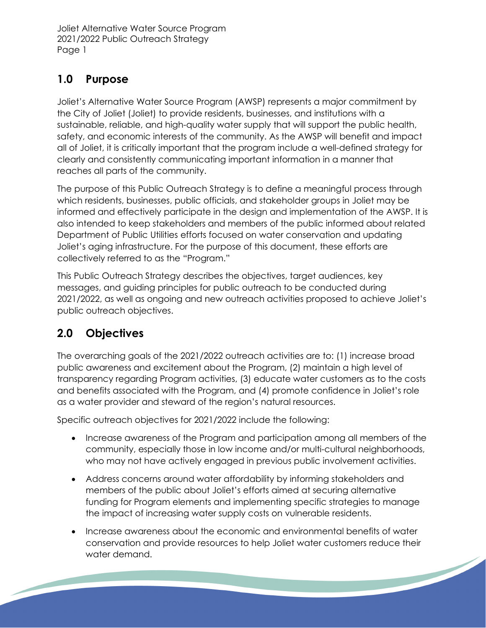# **1.0 Purpose**

Joliet's Alternative Water Source Program (AWSP) represents a major commitment by the City of Joliet (Joliet) to provide residents, businesses, and institutions with a sustainable, reliable, and high-quality water supply that will support the public health, safety, and economic interests of the community. As the AWSP will benefit and impact all of Joliet, it is critically important that the program include a well-defined strategy for clearly and consistently communicating important information in a manner that reaches all parts of the community.

The purpose of this Public Outreach Strategy is to define a meaningful process through which residents, businesses, public officials, and stakeholder groups in Joliet may be informed and effectively participate in the design and implementation of the AWSP. It is also intended to keep stakeholders and members of the public informed about related Department of Public Utilities efforts focused on water conservation and updating Joliet's aging infrastructure. For the purpose of this document, these efforts are collectively referred to as the "Program."

This Public Outreach Strategy describes the objectives, target audiences, key messages, and guiding principles for public outreach to be conducted during 2021/2022, as well as ongoing and new outreach activities proposed to achieve Joliet's public outreach objectives.

# **2.0 Objectives**

The overarching goals of the 2021/2022 outreach activities are to: (1) increase broad public awareness and excitement about the Program, (2) maintain a high level of transparency regarding Program activities, (3) educate water customers as to the costs and benefits associated with the Program, and (4) promote confidence in Joliet's role as a water provider and steward of the region's natural resources.

Specific outreach objectives for 2021/2022 include the following:

- Increase awareness of the Program and participation among all members of the community, especially those in low income and/or multi-cultural neighborhoods, who may not have actively engaged in previous public involvement activities.
- Address concerns around water affordability by informing stakeholders and members of the public about Joliet's efforts aimed at securing alternative funding for Program elements and implementing specific strategies to manage the impact of increasing water supply costs on vulnerable residents.
- Increase awareness about the economic and environmental benefits of water conservation and provide resources to help Joliet water customers reduce their water demand.<u>e de la contrada de la contrada de la contrada de la contrada de la contrada de la contrada de la contrada de la contrada de la contrada de la contrada de la contrada de la contrada de la contrada de la contrada de la con</u>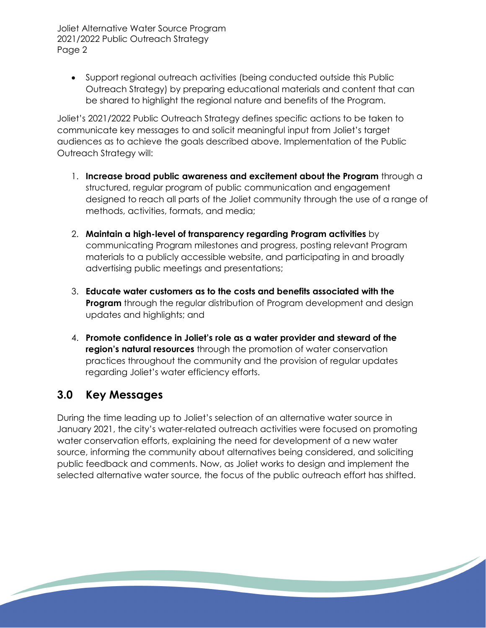• Support regional outreach activities (being conducted outside this Public Outreach Strategy) by preparing educational materials and content that can be shared to highlight the regional nature and benefits of the Program.

Joliet's 2021/2022 Public Outreach Strategy defines specific actions to be taken to communicate key messages to and solicit meaningful input from Joliet's target audiences as to achieve the goals described above. Implementation of the Public Outreach Strategy will:

- 1. **Increase broad public awareness and excitement about the Program** through a structured, regular program of public communication and engagement designed to reach all parts of the Joliet community through the use of a range of methods, activities, formats, and media;
- 2. **Maintain a high-level of transparency regarding Program activities** by communicating Program milestones and progress, posting relevant Program materials to a publicly accessible website, and participating in and broadly advertising public meetings and presentations;
- 3. **Educate water customers as to the costs and benefits associated with the Program** through the regular distribution of Program development and design updates and highlights; and
- 4. **Promote confidence in Joliet's role as a water provider and steward of the region's natural resources** through the promotion of water conservation practices throughout the community and the provision of regular updates regarding Joliet's water efficiency efforts.

# **3.0 Key Messages**

During the time leading up to Joliet's selection of an alternative water source in January 2021, the city's water-related outreach activities were focused on promoting water conservation efforts, explaining the need for development of a new water source, informing the community about alternatives being considered, and soliciting public feedback and comments. Now, as Joliet works to design and implement the selected alternative water source, the focus of the public outreach effort has shifted.

<u> Santa Carl Company (September 2002) and the Company of the Company of the Company of the Company of the Company of the Company of the Company of the Company of the Company of the Company of the Company of the Company of </u>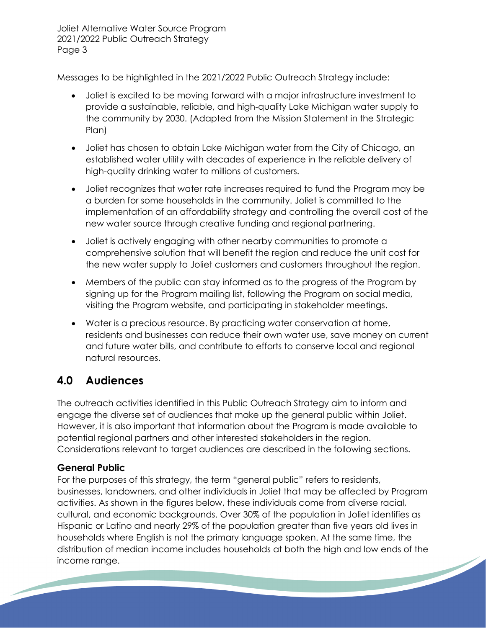Messages to be highlighted in the 2021/2022 Public Outreach Strategy include:

- Joliet is excited to be moving forward with a major infrastructure investment to provide a sustainable, reliable, and high-quality Lake Michigan water supply to the community by 2030. (Adapted from the Mission Statement in the Strategic Plan)
- Joliet has chosen to obtain Lake Michigan water from the City of Chicago, an established water utility with decades of experience in the reliable delivery of high-quality drinking water to millions of customers.
- Joliet recognizes that water rate increases required to fund the Program may be a burden for some households in the community. Joliet is committed to the implementation of an affordability strategy and controlling the overall cost of the new water source through creative funding and regional partnering.
- Joliet is actively engaging with other nearby communities to promote a comprehensive solution that will benefit the region and reduce the unit cost for the new water supply to Joliet customers and customers throughout the region.
- Members of the public can stay informed as to the progress of the Program by signing up for the Program mailing list, following the Program on social media, visiting the Program website, and participating in stakeholder meetings.
- Water is a precious resource. By practicing water conservation at home, residents and businesses can reduce their own water use, save money on current and future water bills, and contribute to efforts to conserve local and regional natural resources.

# **4.0 Audiences**

The outreach activities identified in this Public Outreach Strategy aim to inform and engage the diverse set of audiences that make up the general public within Joliet. However, it is also important that information about the Program is made available to potential regional partners and other interested stakeholders in the region. Considerations relevant to target audiences are described in the following sections.

# **General Public**

For the purposes of this strategy, the term "general public" refers to residents, businesses, landowners, and other individuals in Joliet that may be affected by Program activities. As shown in the figures below, these individuals come from diverse racial, cultural, and economic backgrounds. Over 30% of the population in Joliet identifies as Hispanic or Latino and nearly 29% of the population greater than five years old lives in households where English is not the primary language spoken. At the same time, the distribution of median income includes households at both the high and low ends of the income range.<u> Santa Carl Company (September 2002) a Carl Company (September 2003) a Carl Company (September 2003) a Carl Company (September 2003) a Carl Company (September 2003) a company (September 2003) a company (September 2003) a </u>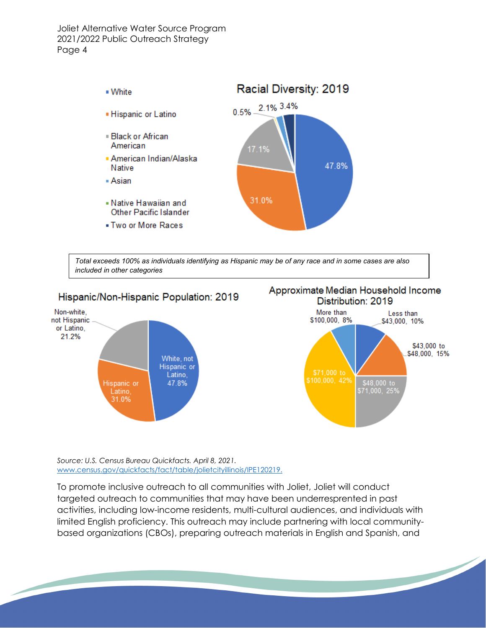

*Total exceeds 100% as individuals identifying as Hispanic may be of any race and in some cases are also included in other categories*



*Source: U.S. Census Bureau Quickfacts. April 8, 2021.*  [www.census.gov/quickfacts/fact/table/jolietcityillinois/IPE120219.](http://www.census.gov/quickfacts/fact/table/jolietcityillinois/IPE120219)

To promote inclusive outreach to all communities with Joliet, Joliet will conduct targeted outreach to communities that may have been underresprented in past activities, including low-income residents, multi-cultural audiences, and individuals with limited English proficiency. This outreach may include partnering with local communitybased organizations (CBOs), preparing outreach materials in English and Spanish, and

<u>the contract of the contract of the contract of the contract of the contract of the contract of the contract of the contract of the contract of the contract of the contract of the contract of the contract of the contract </u>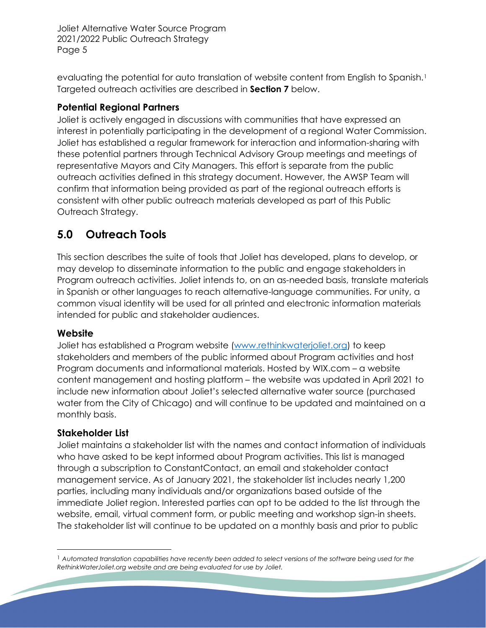evaluating the potential for auto translation of website content from English to Spanish.<sup>[1](#page-5-0)</sup> Targeted outreach activities are described in **Section 7** below.

## **Potential Regional Partners**

Joliet is actively engaged in discussions with communities that have expressed an interest in potentially participating in the development of a regional Water Commission. Joliet has established a regular framework for interaction and information-sharing with these potential partners through Technical Advisory Group meetings and meetings of representative Mayors and City Managers. This effort is separate from the public outreach activities defined in this strategy document. However, the AWSP Team will confirm that information being provided as part of the regional outreach efforts is consistent with other public outreach materials developed as part of this Public Outreach Strategy.

# **5.0 Outreach Tools**

This section describes the suite of tools that Joliet has developed, plans to develop, or may develop to disseminate information to the public and engage stakeholders in Program outreach activities. Joliet intends to, on an as-needed basis, translate materials in Spanish or other languages to reach alternative-language communities. For unity, a common visual identity will be used for all printed and electronic information materials intended for public and stakeholder audiences.

## **Website**

Joliet has established a Program website [\(www.rethinkwaterjoliet.org\)](http://www.rethinkwaterjoliet.org/) to keep stakeholders and members of the public informed about Program activities and host Program documents and informational materials. Hosted by WIX.com – a website content management and hosting platform – the website was updated in April 2021 to include new information about Joliet's selected alternative water source (purchased water from the City of Chicago) and will continue to be updated and maintained on a monthly basis.

## **Stakeholder List**

Joliet maintains a stakeholder list with the names and contact information of individuals who have asked to be kept informed about Program activities. This list is managed through a subscription to ConstantContact, an email and stakeholder contact management service. As of January 2021, the stakeholder list includes nearly 1,200 parties, including many individuals and/or organizations based outside of the immediate Joliet region. Interested parties can opt to be added to the list through the website, email, virtual comment form, or public meeting and workshop sign-in sheets. The stakeholder list will continue to be updated on a monthly basis and prior to public

<u>Singlet Contract Contract Contract Contract Contract Contract Contract Contract Contract Contract Contract Contract Contract Contract Contract Contract Contract Contract Contract Contract Contract Contract Contract Contra</u>

<span id="page-5-0"></span><sup>1</sup> *Automated translation capabilities have recently been added to select versions of the software being used for the RethinkWaterJoliet.org website and are being evaluated for use by Joliet.*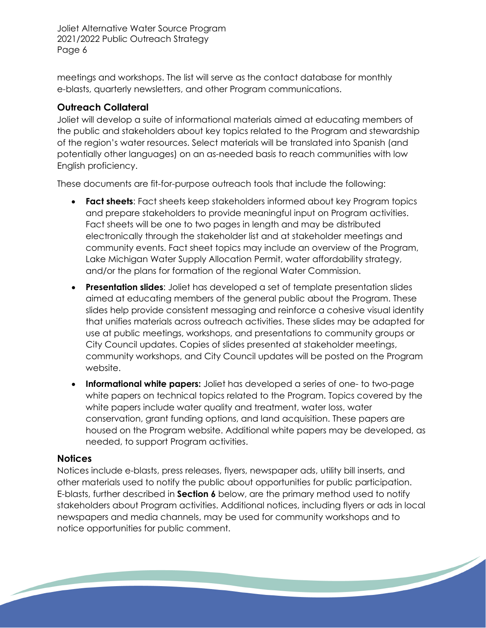meetings and workshops. The list will serve as the contact database for monthly e-blasts, quarterly newsletters, and other Program communications.

## **Outreach Collateral**

Joliet will develop a suite of informational materials aimed at educating members of the public and stakeholders about key topics related to the Program and stewardship of the region's water resources. Select materials will be translated into Spanish (and potentially other languages) on an as-needed basis to reach communities with low English proficiency.

These documents are fit-for-purpose outreach tools that include the following:

- **Fact sheets**: Fact sheets keep stakeholders informed about key Program topics and prepare stakeholders to provide meaningful input on Program activities. Fact sheets will be one to two pages in length and may be distributed electronically through the stakeholder list and at stakeholder meetings and community events. Fact sheet topics may include an overview of the Program, Lake Michigan Water Supply Allocation Permit, water affordability strategy, and/or the plans for formation of the regional Water Commission.
- **Presentation slides**: Joliet has developed a set of template presentation slides aimed at educating members of the general public about the Program. These slides help provide consistent messaging and reinforce a cohesive visual identity that unifies materials across outreach activities. These slides may be adapted for use at public meetings, workshops, and presentations to community groups or City Council updates. Copies of slides presented at stakeholder meetings, community workshops, and City Council updates will be posted on the Program website.
- **Informational white papers:** Joliet has developed a series of one- to two-page white papers on technical topics related to the Program. Topics covered by the white papers include water quality and treatment, water loss, water conservation, grant funding options, and land acquisition. These papers are housed on the Program website. Additional white papers may be developed, as needed, to support Program activities.

## **Notices**

Notices include e-blasts, press releases, flyers, newspaper ads, utility bill inserts, and other materials used to notify the public about opportunities for public participation. E-blasts, further described in **Section 6** below, are the primary method used to notify stakeholders about Program activities. Additional notices, including flyers or ads in local newspapers and media channels, may be used for community workshops and to notice opportunities for public comment.

<u> Santa Carl Company (September 2002) a Carl Company (September 2003) a Carl Company (September 2003) a Carl Co</u>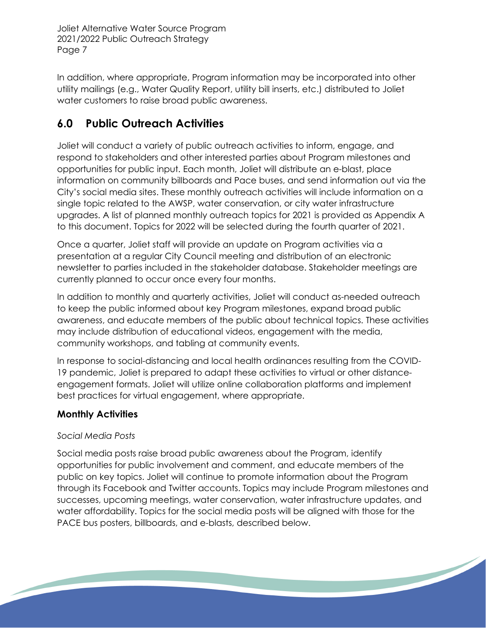In addition, where appropriate, Program information may be incorporated into other utility mailings (e.g., Water Quality Report, utility bill inserts, etc.) distributed to Joliet water customers to raise broad public awareness.

# **6.0 Public Outreach Activities**

Joliet will conduct a variety of public outreach activities to inform, engage, and respond to stakeholders and other interested parties about Program milestones and opportunities for public input. Each month, Joliet will distribute an e-blast, place information on community billboards and Pace buses, and send information out via the City's social media sites. These monthly outreach activities will include information on a single topic related to the AWSP, water conservation, or city water infrastructure upgrades. A list of planned monthly outreach topics for 2021 is provided as Appendix A to this document. Topics for 2022 will be selected during the fourth quarter of 2021.

Once a quarter, Joliet staff will provide an update on Program activities via a presentation at a regular City Council meeting and distribution of an electronic newsletter to parties included in the stakeholder database. Stakeholder meetings are currently planned to occur once every four months.

In addition to monthly and quarterly activities, Joliet will conduct as-needed outreach to keep the public informed about key Program milestones, expand broad public awareness, and educate members of the public about technical topics. These activities may include distribution of educational videos, engagement with the media, community workshops, and tabling at community events.

In response to social-distancing and local health ordinances resulting from the COVID-19 pandemic, Joliet is prepared to adapt these activities to virtual or other distanceengagement formats. Joliet will utilize online collaboration platforms and implement best practices for virtual engagement, where appropriate.

# **Monthly Activities**

# *Social Media Posts*

Social media posts raise broad public awareness about the Program, identify opportunities for public involvement and comment, and educate members of the public on key topics. Joliet will continue to promote information about the Program through its Facebook and Twitter accounts. Topics may include Program milestones and successes, upcoming meetings, water conservation, water infrastructure updates, and water affordability. Topics for the social media posts will be aligned with those for the PACE bus posters, billboards, and e-blasts, described below.

<u> Santa Carl</u>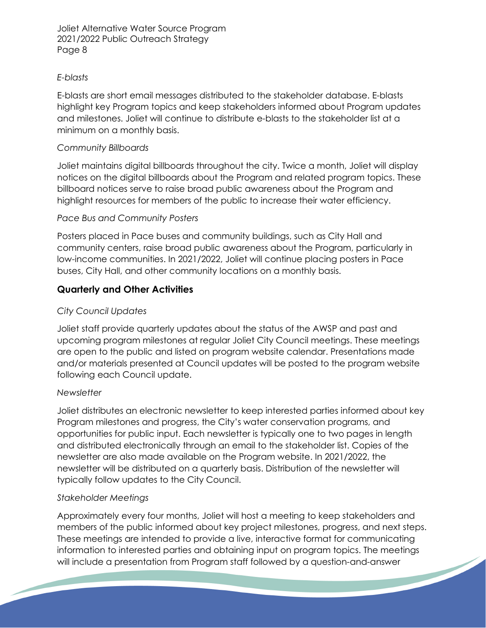#### *E-blasts*

E-blasts are short email messages distributed to the stakeholder database. E-blasts highlight key Program topics and keep stakeholders informed about Program updates and milestones. Joliet will continue to distribute e-blasts to the stakeholder list at a minimum on a monthly basis.

#### *Community Billboards*

Joliet maintains digital billboards throughout the city. Twice a month, Joliet will display notices on the digital billboards about the Program and related program topics. These billboard notices serve to raise broad public awareness about the Program and highlight resources for members of the public to increase their water efficiency.

#### *Pace Bus and Community Posters*

Posters placed in Pace buses and community buildings, such as City Hall and community centers, raise broad public awareness about the Program, particularly in low-income communities. In 2021/2022, Joliet will continue placing posters in Pace buses, City Hall, and other community locations on a monthly basis.

## **Quarterly and Other Activities**

#### *City Council Updates*

Joliet staff provide quarterly updates about the status of the AWSP and past and upcoming program milestones at regular Joliet City Council meetings. These meetings are open to the public and listed on program website calendar. Presentations made and/or materials presented at Council updates will be posted to the program website following each Council update.

#### *Newsletter*

Joliet distributes an electronic newsletter to keep interested parties informed about key Program milestones and progress, the City's water conservation programs, and opportunities for public input. Each newsletter is typically one to two pages in length and distributed electronically through an email to the stakeholder list. Copies of the newsletter are also made available on the Program website. In 2021/2022, the newsletter will be distributed on a quarterly basis. Distribution of the newsletter will typically follow updates to the City Council.

#### *Stakeholder Meetings*

Approximately every four months, Joliet will host a meeting to keep stakeholders and members of the public informed about key project milestones, progress, and next steps. These meetings are intended to provide a live, interactive format for communicating information to interested parties and obtaining input on program topics. The meetings will include a presentation from Program staff followed by a question-and-answer<u>the contract of the contract of the contract of the contract of the contract of the contract of the contract of the contract of the contract of the contract of the contract of the contract of the contract of the contract </u>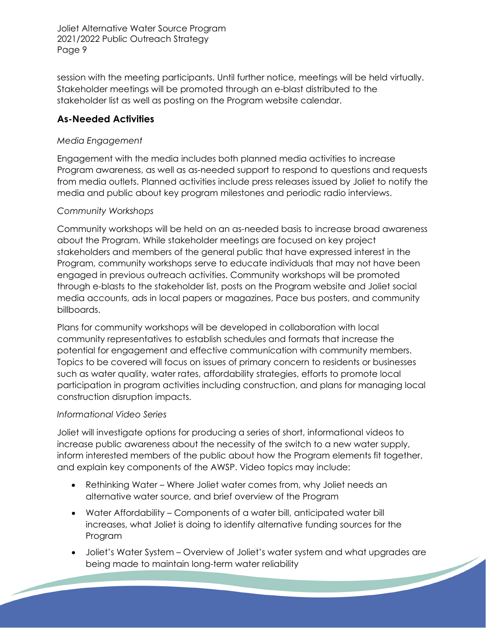session with the meeting participants. Until further notice, meetings will be held virtually. Stakeholder meetings will be promoted through an e-blast distributed to the stakeholder list as well as posting on the Program website calendar.

## **As-Needed Activities**

#### *Media Engagement*

Engagement with the media includes both planned media activities to increase Program awareness, as well as as-needed support to respond to questions and requests from media outlets. Planned activities include press releases issued by Joliet to notify the media and public about key program milestones and periodic radio interviews.

#### *Community Workshops*

Community workshops will be held on an as-needed basis to increase broad awareness about the Program. While stakeholder meetings are focused on key project stakeholders and members of the general public that have expressed interest in the Program, community workshops serve to educate individuals that may not have been engaged in previous outreach activities. Community workshops will be promoted through e-blasts to the stakeholder list, posts on the Program website and Joliet social media accounts, ads in local papers or magazines, Pace bus posters, and community billboards.

Plans for community workshops will be developed in collaboration with local community representatives to establish schedules and formats that increase the potential for engagement and effective communication with community members. Topics to be covered will focus on issues of primary concern to residents or businesses such as water quality, water rates, affordability strategies, efforts to promote local participation in program activities including construction, and plans for managing local construction disruption impacts.

#### *Informational Video Series*

Joliet will investigate options for producing a series of short, informational videos to increase public awareness about the necessity of the switch to a new water supply, inform interested members of the public about how the Program elements fit together, and explain key components of the AWSP. Video topics may include:

- Rethinking Water Where Joliet water comes from, why Joliet needs an alternative water source, and brief overview of the Program
- Water Affordability Components of a water bill, anticipated water bill increases, what Joliet is doing to identify alternative funding sources for the Program
- Joliet's Water System Overview of Joliet's water system and what upgrades are being made to maintain long-term water reliability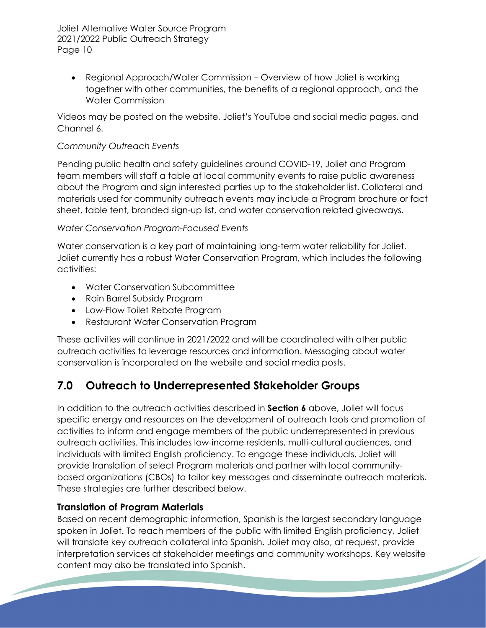• Regional Approach/Water Commission – Overview of how Joliet is working together with other communities, the benefits of a regional approach, and the Water Commission

Videos may be posted on the website, Joliet's YouTube and social media pages, and Channel 6.

## *Community Outreach Events*

Pending public health and safety guidelines around COVID-19, Joliet and Program team members will staff a table at local community events to raise public awareness about the Program and sign interested parties up to the stakeholder list. Collateral and materials used for community outreach events may include a Program brochure or fact sheet, table tent, branded sign-up list, and water conservation related giveaways.

## *Water Conservation Program-Focused Events*

Water conservation is a key part of maintaining long-term water reliability for Joliet. Joliet currently has a robust Water Conservation Program, which includes the following activities:

- Water Conservation Subcommittee
- Rain Barrel Subsidy Program
- Low-Flow Toilet Rebate Program
- Restaurant Water Conservation Program

These activities will continue in 2021/2022 and will be coordinated with other public outreach activities to leverage resources and information. Messaging about water conservation is incorporated on the website and social media posts.

# **7.0 Outreach to Underrepresented Stakeholder Groups**

In addition to the outreach activities described in **Section 6** above, Joliet will focus specific energy and resources on the development of outreach tools and promotion of activities to inform and engage members of the public underrepresented in previous outreach activities. This includes low-income residents, multi-cultural audiences, and individuals with limited English proficiency. To engage these individuals, Joliet will provide translation of select Program materials and partner with local communitybased organizations (CBOs) to tailor key messages and disseminate outreach materials. These strategies are further described below.

# **Translation of Program Materials**

Based on recent demographic information, Spanish is the largest secondary language spoken in Joliet. To reach members of the public with limited English proficiency, Joliet will translate key outreach collateral into Spanish. Joliet may also, at request, provide interpretation services at stakeholder meetings and community workshops. Key website <u>the contract of the contract of the contract of the contract of the contract of the contract of the contract of the contract of the contract of the contract of the contract of the contract of the contract of the contract </u> content may also be translated into Spanish.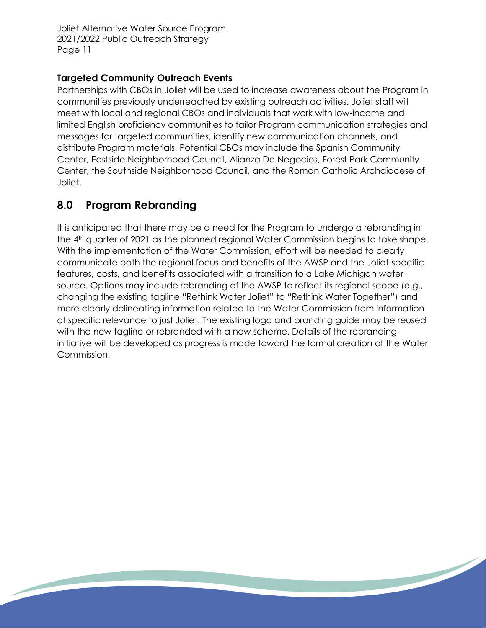# **Targeted Community Outreach Events**

Partnerships with CBOs in Joliet will be used to increase awareness about the Program in communities previously underreached by existing outreach activities. Joliet staff will meet with local and regional CBOs and individuals that work with low-income and limited English proficiency communities to tailor Program communication strategies and messages for targeted communities, identify new communication channels, and distribute Program materials. Potential CBOs may include the Spanish Community Center, Eastside Neighborhood Council, Alianza De Negocios, Forest Park Community Center, the Southside Neighborhood Council, and the Roman Catholic Archdiocese of Joliet.

# **8.0 Program Rebranding**

It is anticipated that there may be a need for the Program to undergo a rebranding in the 4<sup>th</sup> quarter of 2021 as the planned regional Water Commission begins to take shape. With the implementation of the Water Commission, effort will be needed to clearly communicate both the regional focus and benefits of the AWSP and the Joliet-specific features, costs, and benefits associated with a transition to a Lake Michigan water source. Options may include rebranding of the AWSP to reflect its regional scope (e.g., changing the existing tagline "Rethink Water Joliet" to "Rethink Water Together") and more clearly delineating information related to the Water Commission from information of specific relevance to just Joliet. The existing logo and branding guide may be reused with the new tagline or rebranded with a new scheme. Details of the rebranding initiative will be developed as progress is made toward the formal creation of the Water Commission.